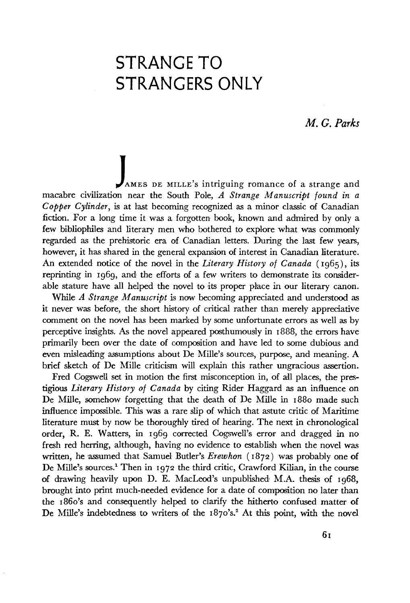## **STRANGE TO STRANGERS ONLY**

## *M. G. Parks*

AMES DE MILLE's intriguing romance of a strange and macabre civilization near the South Pole, *A Strange Manuscript found in a Copper Cylinder,* is at last becoming recognized as a minor classic of Canadian fiction. For a long time it was a forgotten book, known and admired by only a few bibliophiles and literary men who bothered to explore what was commonly regarded as the prehistoric era of Canadian letters. During the last few years, however, it has shared in the general expansion of interest in Canadian literature. An extended notice of the novel in the *Literary History of Canada* (1965), its reprinting in 1969, and the efforts of a few writers to demonstrate its considerable stature have all helped the novel to its proper place in our literary canon.

While *A Strange Manuscript* is now becoming appreciated and understood as it never was before, the short history of critical rather than merely appreciative comment on the novel has been marked by some unfortunate errors as well as by perceptive insights. As the novel appeared posthumously in 1888, the errors have primarily been over the date of composition and have led to some dubious and even misleading assumptions about De Mille's sources, purpose, and meaning. A brief sketch of De Mille criticism will explain this rather ungracious assertion.

Fred Cogswell set in motion the first misconception in, of all places, the prestigious *Literary History of Canada* by citing Rider Haggard as an influence on De Mille, somehow forgetting that the death of De Mille in 1880 made such influence impossible. This was a rare slip of which that astute critic of Maritime literature must by now be thoroughly tired of hearing. The next in chronological order, R. E. Waiters, in 1969 corrected Cogswell's error and dragged in no fresh red herring, although, having no evidence to establish when the novel was written, he assumed that Samuel Butler's *Erewhon* (1872) was probably one of De Mille's sources.<sup>1</sup> Then in 1972 the third critic, Crawford Kilian, in the course of drawing heavily upon D. E. MacLeod's unpublished M.A. thesis of 1968, brought into print much-needed evidence for a date of composition no later than the 1860's and consequently helped to clarify the hitherto confused matter of De Mille's indebtedness to writers of the 1870's.<sup>2</sup> At this point, with the novel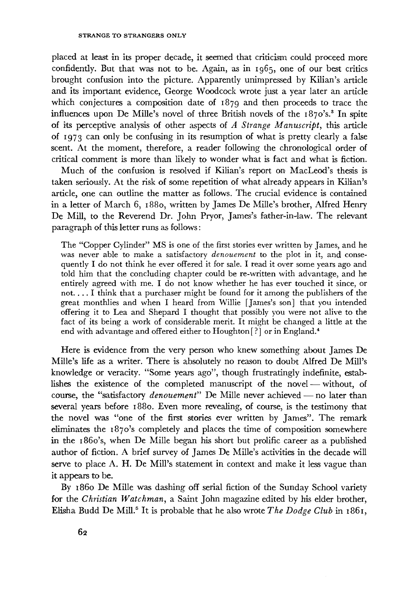placed at least in its proper decade, it seemed that criticism could proceed more confidently. But that was not to be. Again, as in 1965, one of our best critics brought confusion into the picture. Apparently unimpressed by Kilian's article and its important evidence, George Woodcock wrote just a year later an article which conjectures a composition date of 1879 and then proceeds to trace the influences upon De Mille's novel of three British novels of the 1870's.<sup>3</sup> In spite of its perceptive analysis of other aspects of *A Strange Manuscript,* this article of 1973 can only be confusing in its resumption of what is pretty clearly a false scent. At the moment, therefore, a reader following the chronological order of critical comment is more than likely to wonder what is fact and what is fiction.

Much of the confusion is resolved if Kilian's report on MacLeod's thesis is taken seriously. At the risk of some repetition of what already appears in Kilian's article, one can outline the matter as follows. The crucial evidence is contained in a letter of March 6, 1880, written by James De Mille's brother, Alfred Henry De Mill, to the Reverend Dr. John Pryor, James's father-in-law. The relevant paragraph of this letter runs as follows :

The "Copper Cylinder" MS is one of the first stories ever written by James, and he was never able to make a satisfactory *denouement* to the plot in it, and consequently I do not think he ever offered it for sale. I read it over some years ago and told him that the concluding chapter could be re-written with advantage, and he entirely agreed with me. I do not know whether he has ever touched it since, or not.... I think that a purchaser might be found for it among the publishers of the great monthlies and when I heard from Willie [James's son] that you intended offering it to Lea and Shepard I thought that possibly you were not alive to the fact of its being a work of considerable merit. It might be changed a little at the end with advantage and offered either to Houghton [?] or in England.<sup>4</sup>

Here is evidence from the very person who knew something about James De Mille's life as a writer. There is absolutely no reason to doubt Alfred De Mill's knowledge or veracity. "Some years ago", though frustratingly indefinite, establishes the existence of the completed manuscript of the novel — without, of course, the "satisfactory *denouement"* De Mille never achieved — no later than several years before 1880. Even more revealing, of course, is the testimony that the novel was "one of the first stories ever written by James". The remark eliminates the 1870's completely and places the time of composition somewhere in the 1860's, when De Mille began his short but prolific career as a published author of fiction. A brief survey of James De Mille's activities in the decade will serve to place A. H. De Mill's statement in context and make it less vague than it appears to be.

By i860 De Mille was dashing off serial fiction of the Sunday School variety **for** the *Christian Watchman,* a Saint John magazine edited by his elder brother, Elisha Budd De Mill.<sup>5</sup> It is probable that he also wrote The Dodge Club in 1861,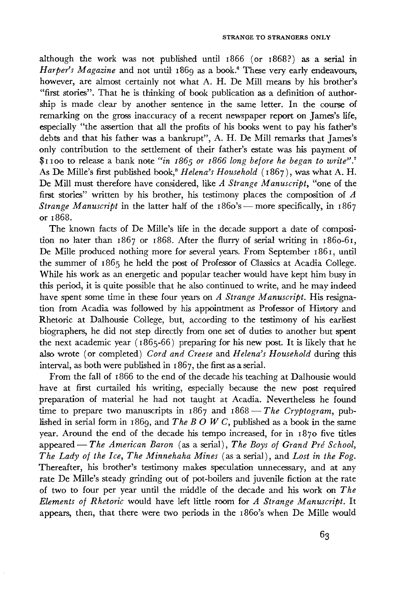although the work was not published until 1866 (or 1868?) as a serial in Harper's Magazine and not until 1869 as a book.<sup>6</sup> These very early endeavours, however, are almost certainly not what A. H. De Mill means by his brother's "first stories". That he is thinking of book publication as a definition of author ship is made clear by another sentence in the same letter. In the course of remarking on the gross inaccuracy of a recent newspaper report on James's life, especially "the assertion that all the profits of his books went to pay his father's debts and that his father was a bankrupt", A. H. De Mill remarks that James's only contribution to the settlement of their father's estate was his payment of \$1100 to release a bank note *"in 1865 or 1866 long before he began to write".'<sup>1</sup>* As De Mille's first published book,<sup>8</sup> Helena's Household (1867), was what A. H. De Mill must therefore have considered, like *A Strange Manuscript,* "one of the first stories" written by his brother, his testimony places the composition of *A Strange Manuscript* in the latter half of the 1860's — more specifically, in 1867 or 1868.

The known facts of De Mille's life in the decade support a date of composi tion no later than 1867 or 1868. After the flurry of serial writing in 1860-61, De Mille produced nothing more for several years. From September 1861, until the summer of 1865 he held the post of Professor of Classics at Acadia College. While his work as an energetic and popular teacher would have kept him busy in this period, it is quite possible that he also continued to write, and he may indeed have spent some time in these four years on *A Strange Manuscript.* His resigna tion from Acadia was followed by his appointment as Professor of History and Rhetoric at Dalhousie College, but, according to the testimony of his earliest biographers, he did not step directly from one set of duties to another but spent the next academic year ( 1865-66 ) preparing for his new post. It is likely that he also wrote (or completed) *Cord and Creese* and *Helena's Household* during this interval, as both were published in 1867, the first as a serial.

From the fall of 1866 to the end of the decade his teaching at Dalhousie would have at first curtailed his writing, especially because the new post required preparation of material he bad not taught at Acadia. Nevertheless he found time to prepare two manuscripts in 1867 and 1868 – The Cryptogram, published in serial form in 1869, and *The В О W С,* published as a book in the same year. Around the end of the decade his tempo increased, for in 1870 five titles appeared — *The American Baron* (as a serial), *The Boys of Grand Pré School, The Lady of the Ice, The Minnehaha Mines* (as a serial), and *Lost in the Fog.* Thereafter, his brother's testimony makes speculation unnecessary, and at any rate De Mille's steady grinding out of pot-boilers and juvenile fiction at the rate of two to four per year until the middle of the decade and his work on *The Elements of Rhetoric* would have left little room for *A Strange Manuscript.* It appears, then, that there were two periods in the 1860's when De Mille would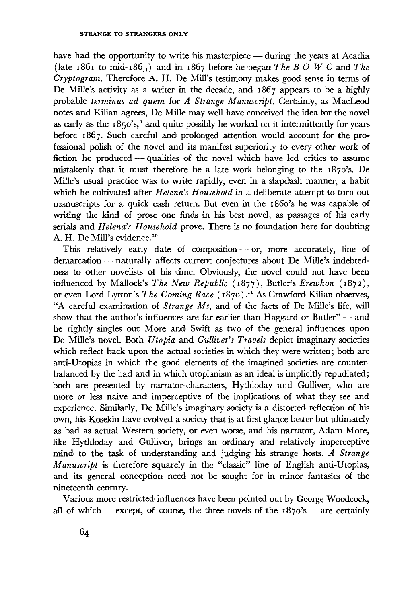have had the opportunity to write his masterpiece — during the years at Acadia (late 1861 to mid-1865) and in 1867 before he began *The В О W С* and *The Cryptogram.* Therefore A. H. De Mill's testimony makes good sense in terms of De Mille's activity as a writer in the decade, and 1867 appears to be a highly probable *terminus ad quern* for *A Strange Manuscript.* Certainly, as MacLeod notes and Kilian agrees, De Mille may well have conceived the idea for the novel as early as the  $1850's$ ,<sup>9</sup> and quite possibly he worked on it intermittently for years before 1867. Such careful and prolonged attention would account for the pro fessional polish of the novel and its manifest superiority to every other work of fiction he produced — qualities of the novel which have led critics to assume mistakenly that it must therefore be a late work belonging to the 1870's. De Mille's usual practice was to write rapidly, even in a slapdash manner, a habit which he cultivated after *Helena's Household* in a deliberate attempt to turn out manuscripts for a quick cash return. But even in the 1860's he was capable of writing the kind of prose one finds in his best novel, as passages of his early serials and *Helena's Household* prove. There is no foundation here for doubting A. H. De Mill's evidence.<sup>10</sup>

This relatively early date of composition — or, more accurately, line of demarcation — naturally affects current conjectures about De Mille's indebted ness to other novelists of his time. Obviously, the novel could not have been influenced by Mallock's *The New Republic* (1877), Butler's *Erewhon* (1872), or even Lord Lytton's *The Coming Race* (1870)." As Crawford Kilian observes, "A careful examination of *Strange Ms,* and of the facts of De Mille's life, will show that the author's influences are far earlier than Haggard or Butler" — and he rightly singles out More and Swift as two of the general influences upon De Mille's novel. Both *Utopia* and *Gulliver's Travels* depict imaginary societies which reflect back upon the actual societies in which they were written; both are anti-Utopias in which the good elements of the imagined societies are counter balanced by the bad and in which utopianism as an ideal is implicitly repudiated ; both are presented by narrator-characters, Hythloday and Gulliver, who are more or less naive and imperceptive of the implications of what they see and experience. Similarly, De Mille's imaginary society is a distorted reflection of his own, his Kosekin have evolved a society that is at first glance better but ultimately as bad as actual Western society, or even worse, and his narrator, Adam More, like Hythloday and Gulliver, brings an ordinary and relatively imperceptive mind to the task of understanding and judging his strange hosts. *A Strange Manuscript* is therefore squarely in the "classic" line of English anti-Utopias, and its general conception need not be sought for in minor fantasies of the nineteenth century.

Various more restricted influences have been pointed out by George Woodcock, all of which — except, of course, the three novels of the  $1870's$  — are certainly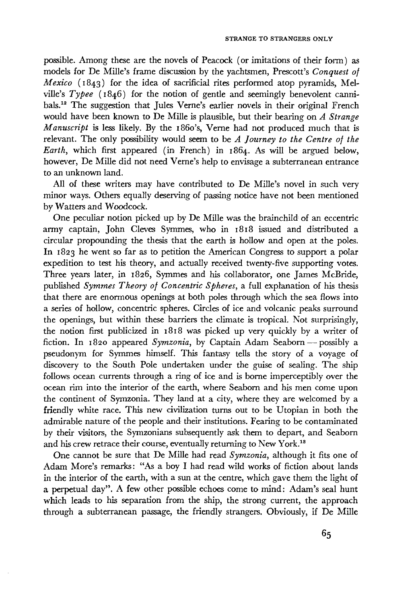possible. Among these are the novels of Peacock (or imitations of their form) as models for De Mille's frame discussion by the yachtsmen, Prescott's *Conquest of Mexico* (1843) for the idea of sacrificial rites performed atop pyramids, Melville's Typee (1846) for the notion of gentle and seemingly benevolent cannibals.<sup>12</sup> The suggestion that Jules Verne's earlier novels in their original French would have been known to De Mille is plausible, but their bearing on *A Strange Manuscript* is less likely. By the 1860's, Verne had not produced much that is relevant. The only possibility would seem to be *A Journey to the Centre of the Earth,* which first appeared (in French) in 1864. As will be argued below, however, De Mille did not need Verne's help to envisage a subterranean entrance to an unknown land.

All of these writers may have contributed to De Mille's novel in such very minor ways. Others equally deserving of passing notice have not been mentioned by Watters and Woodcock.

One peculiar notion picked up by De Mille was the brainchild of an eccentric army captain, John Cleves Symmes, who in 1818 issued and distributed a circular propounding the thesis that the earth is hollow and open at the poles. In 1823 he went so far as to petition the American Congress to support a polar expedition to test his theory, and actually received twenty-five supporting votes. Three years later, in 1826, Symmes and his collaborator, one James McBride, published *Symmes Theory of Concentric Spheres,* a full explanation of his thesis that there are enormous openings at both poles through which the sea flows into a series of hollow, concentric spheres. Circles of ice and volcanic peaks surround the openings, but within these barriers the climate is tropical. Not surprisingly, the notion first publicized in 1818 was picked up very quickly by a writer of fiction. In 1820 appeared *Symzonia,* by Captain Adam Seaborn — possibly a pseudonym for Symmes himself. This fantasy tells the story of a voyage of discovery to the South Pole undertaken under the guise of sealing. The ship follows ocean currents through a ring of ice and is borne imperceptibly over the ocean rim into the interior of the earth, where Seaborn and his men come upon the continent of Symzonia. They land at a city, where they are welcomed by a friendly white race. This new civilization turns out to be Utopian in both the admirable nature of the people and their institutions. Fearing to be contaminated by their visitors, the Symzonians subsequently ask them to depart, and Seaborn and his crew retrace their course, eventually returning to New York.<sup>13</sup>

One cannot be sure that De Mille had read *Symzonia,* although it fits one of Adam More's remarks: "As a boy I had read wild works of fiction about lands in the interior of the earth, with a sun at the centre, which gave them the light of a perpetual day". A few other possible echoes come to mind: Adam's seal hunt which leads to his separation from the ship, the strong current, the approach through a subterranean passage, the friendly strangers. Obviously, if De Mille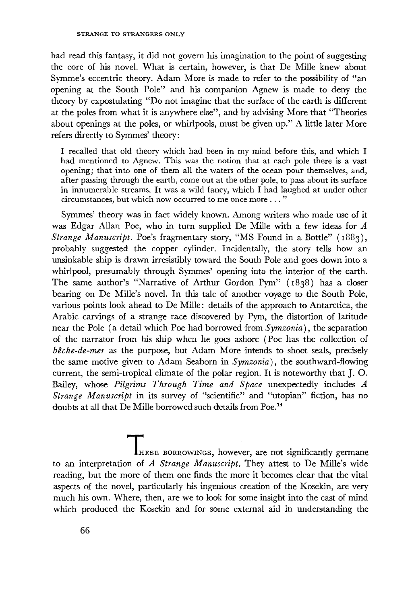had read this fantasy, it did not govern his imagination to the point of suggesting the core of his novel. What is certain, however, is that De Mille knew about Symme's eccentric theory. Adam More is made to refer to the possibility of "an opening at the South Pole" and his companion Agnew is made to deny the theory by expostulating "Do not imagine that the surface of the earth is different at the poles from what it is anywhere else", and by advising More that "Theories about openings at the poles, or whirlpools, must be given up." A little later More refers directly to Symmes' theory :

I recalled that old theory which had been in my mind before this, and which I had mentioned to Agnew. This was the notion that at each pole there is a vast opening; that into one of them all the waters of the ocean pour themselves, and, after passing through the earth, come out at the other pole, to pass about its surface in innumerable streams. It was a wild fancy, which I had laughed at under other circumstances, but which now occurred to me once more ... "

Symmes' theory was in fact widely known. Among writers who made use of it was Edgar Allan Poe, who in turn supplied De Mille with a few ideas for *A Strange Manuscript.* Poe's fragmentary story, "MS Found in a Bottle" (1883), probably suggested the copper cylinder. Incidentally, the story tells how an unsinkable ship is drawn irresistibly toward the South Pole and goes down into a whirlpool, presumably through Symmes' opening into the interior of the earth. The same author's "Narrative of Arthur Gordon Pym" (1838) has a closer bearing on De Mille's novel. In this tale of another voyage to the South Pole, various points look ahead to De Mille: details of the approach to Antarctica, the Arabic carvings of a strange race discovered by Pym, the distortion of latitude near the Pole (a detail which Poe had borrowed from *Symzonia),* the separation of the narrator from his ship when he goes ashore (Poe has the collection of *bêche-de-mer* as the purpose, but Adam More intends to shoot seals, precisely the same motive given to Adam Seaborn in *Symzonia),* the southward-flowing current, the semi-tropical climate of the polar region. It is noteworthy that J. O. Bailey, whose *Pilgrims Through Time and Space* unexpectedly includes *A Strange Manuscript* in its survey of "scientific" and "utopian" fiction, has no doubts at all that De Mille borrowed such details from Poe.<sup>14</sup>

 $of$ IHESE BORROWINGS, however, are not significantly germane to an interpretation of *A Strange Manuscript.* They attest to De Mille's wide reading, but the more of them one finds the more it becomes clear that the vital aspects of the novel, particularly his ingenious creation of the Kosekin, are very much his own. Where, then, are we to look for some insight into the cast of mind which produced the Kosekin and for some external aid in understanding the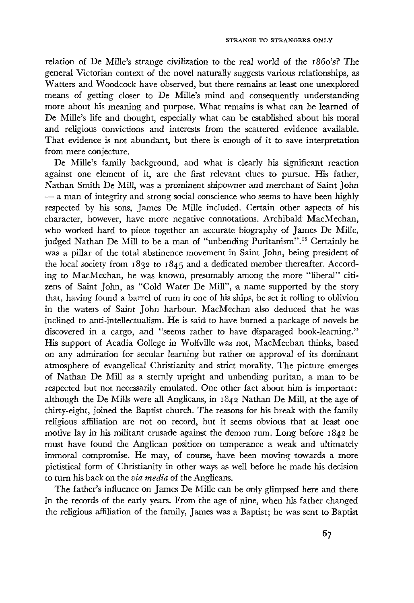relation of De Mille's strange civilization to the real world of the i86o's? The general Victorian context of the novel naturally suggests various relationships, as Waiters and Woodcock have observed, but there remains at least one unexplored means of getting closer to De Mille's mind and consequently understanding more about his meaning and purpose. What remains is what can be learned of De Mille's life and thought, especially what can be established about his moral and religious convictions and interests from the scattered evidence available. That evidence is not abundant, but there is enough of it to save interpretation from mere conjecture.

De Mille's family background, and what is clearly his significant reaction against one element of it, are the first relevant clues to pursue. His father, Nathan Smith De Mill, was a prominent shipowner and merchant of Saint John  $\sim$  a man of integrity and strong social conscience who seems to have been highly respected by his sons, James De Mille included. Certain other aspects of his character, however, have more negative connotations. Archibald MacMechan, who worked hard to piece together an accurate biography of James De Mille, judged Nathan De Mill to be a man of "unbending Puritanism".<sup>15</sup> Certainly he was a pillar of the total abstinence movement in Saint John, being president of the local society from 1832 to 1845 and a dedicated member thereafter. According to MacMechan, he was known, presumably among the more "liberal" citizens of Saint John, as "Cold Water De Mill", a name supported by the story that, having found a barrel of rum in one of his ships, he set it rolling to oblivion in the waters of Saint John harbour. MacMechan also deduced that he was inclined to anti-intellectualism. He is said to have burned a package of novels he discovered in a cargo, and "seems rather to have disparaged book-learning." His support of Acadia College in Wolfville was not, MacMechan thinks, based on any admiration for secular learning but rather on approval of its dominant atmosphere of evangelical Christianity and strict morality. The picture emerges of Nathan De Mill as a sternly upright and unbending puritan, a man to be respected but not necessarily emulated. One other fact about him is important: although the De Mills were all Anglicans, in 1842 Nathan De Mill, at the age of thirty-eight, joined the Baptist church. The reasons for his break with the family religious affiliation are not on record, but it seems obvious that at least one motive lay in his militant crusade against the demon rum. Long before 1842 he must have found the Anglican position on temperance a weak and ultimately immoral compromise. He may, of course, have been moving towards a more pietistical form of Christianity in other ways as well before he made his decision to turn his back on the *via media* of the Anglicans.

The father's influence on James De Mille can be only glimpsed here and there in the records of the early years. From the age of nine, when his father changed the religious affiliation of the family, James was a Baptist; he was sent to Baptist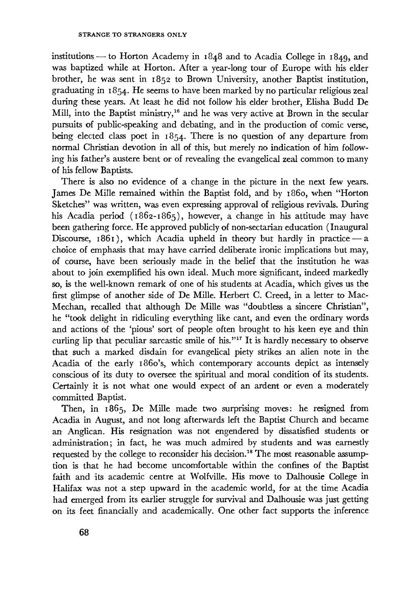institutions — to Horton Academy in 1848 and to Acadia College in 1849, and was baptized while at Horton. After a year-long tour of Europe with his elder brother, he was sent in 1852 to Brown University, another Baptist institution, graduating in 1854. He seems to have been marked by no particular religious zeal during these years. At least he did not follow his elder brother, Elisha Budd De Mill, into the Baptist ministry,<sup>16</sup> and he was very active at Brown in the secular pursuits of public-speaking and debating, and in the production of comic verse, being elected class poet in 1854. There is no question of any departure from normal Christian devotion in all of this, but merely no indication of him follow ing his father's austere bent or of revealing the evangelical zeal common to many of his fellow Baptists.

There is also no evidence of a change in the picture in the next few years. James De Mille remained within the Baptist fold, and by i860, when "Horton Sketches" was written, was even expressing approval of religious revivals. During his Acadia period (1862-1865), however, a change in his attitude may have been gathering force. He approved publicly of non-sectarian education ( Inaugural Discourse,  $1861$ , which Acadia upheld in theory but hardly in practice — a choice of emphasis that may have carried deliberate ironic implications but may, of course, have been seriously made in the belief that the institution he was about to join exemplified his own ideal. Much more significant, indeed markedly so, is the well-known remark of one of his students at Acadia, which gives us the first glimpse of another side of De Mille. Herbert С. Creed, in a letter to Mac Mechan, recalled that although De Mille was "doubtless a sincere Christian", he "took delight in ridiculing everything like cant, and even the ordinary words and actions of the 'pious' sort of people often brought to his keen eye and thin curling lip that peculiar sarcastic smile of his."<sup>17</sup> It is hardly necessary to observe that such a marked disdain for evangelical piety strikes an alien note in the Acadia of the early 1860's, which contemporary accounts depict as intensely conscious of its duty to oversee the spiritual and moral condition of its students. Certainly it is not what one would expect of an ardent or even a moderately committed Baptist.

Then, in 1865, De Mille made two surprising moves: he resigned from Acadia in August, and not long afterwards left the Baptist Church and became an Anglican. His resignation was not engendered by dissatisfied students or administration; in fact, he was much admired by students and was earnestly requested by the college to reconsider his decision.<sup>18</sup> The most reasonable assump tion is that he had become uncomfortable within the confines of the Baptist faith and its academic centre at Wolfville. His move to Dalhousie College in Halifax was not a step upward in the academic world, for at the time Acadia had emerged from its earlier struggle for survival and Dalhousie was just getting on its feet financially and academically. One other fact supports the inference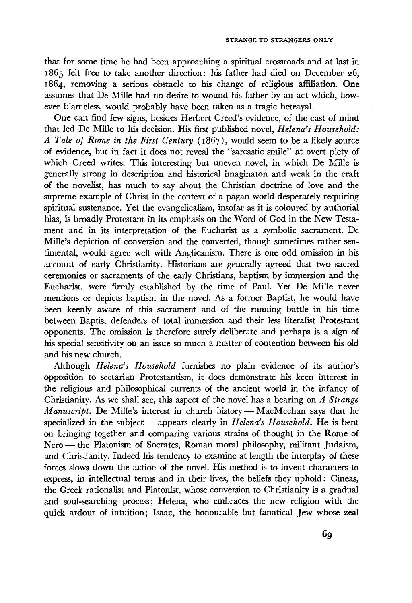that for some time he had been approaching a spiritual crossroads and at last in 1865 felt free to take another direction: his father had died on December 26, 1864, removing a serious obstacle to his change of religious affiliation. **One** assumes that De Mille had no desire to wound his father by an act which, however blameless, would probably have been taken as a tragic betrayal.

One can find few signs, besides Herbert Creed's evidence, of the cast of mind that led De Mille to his decision. His first published novel, *Helena's Household: A Tale of Rome in the First Century* (1867), would seem to be a likely source of evidence, but in fact it does not reveal the "sarcastic smile" at overt piety of which Creed writes. This interesting but uneven novel, in which De Mille is generally strong in description and historical imaginaton and weak in the craft of the novelist, has much to say about the Christian doctrine of love and the supreme example of Christ in the context of a pagan world desperately requiring spiritual sustenance. Yet the evangelicalism, insofar as it is coloured by authorial bias, is broadly Protestant in its emphasis on the Word of God in the New Testament and in its interpretation of the Eucharist as a symbolic sacrament. De Mille's depiction of conversion and the converted, though sometimes rather sentimental, would agree well with Anglicanism. There is one odd omission in his account of early Christianity. Historians are generally agreed that two sacred ceremonies or sacraments of the early Christians, baptism by immersion and the Eucharist, were firmly established by the time of Paul. Yet De Mille never mentions or depicts baptism in the novel. As a former Baptist, he would have been keenly aware of this sacrament and of the running battle in his time between Baptist defenders of total immersion and their less literalist Protestant opponents. The omission is therefore surely deliberate and perhaps is a sign of his special sensitivity on an issue so much a matter of contention between his old and his new church.

Although *Helena's Household* furnishes no plain evidence of its author's opposition to sectarian Protestantism, it does demonstrate his keen interest in the religious and philosophical currents of the ancient world in the infancy of Christianity. As we shall see, this aspect of the novel has a bearing on *A Strange Manuscript.* De Mille's interest in church history — MacMechan says that he specialized in the subject — appears clearly in *Helena's Household.* He is bent on bringing together and comparing various strains of thought in the Rome of Nero — the Platonism of Socrates, Roman moral philosophy, militant Judaism, and Christianity. Indeed his tendency to examine at length the interplay of these forces slows down the action of the novel. His method is to invent characters to express, in intellectual terms and in their lives, the beliefs they uphold : Cineas, the Greek rationalist and Platonist, whose conversion to Christianity is a gradual and soul-searching process; Helena, who embraces the new religion with the quick ardour of intuition; Isaac, the honourable but fanatical Jew whose zeal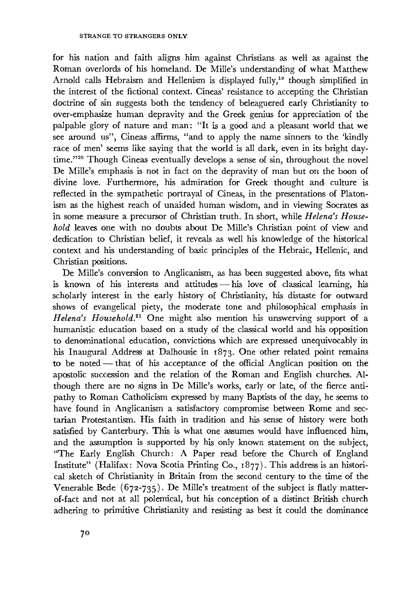for his nation and faith aligns him against Christians as well as against the Roman overlords of his homeland. De Mille's understanding of what Matthew Arnold calls Hebraism and Hellenism is displayed fully,<sup>19</sup> though simplified in the interest of the fictional context. Cineas' resistance to accepting the Christian doctrine of sin suggests both the tendency of beleaguered early Christianity to over-emphasize human depravity and the Greek genius for appreciation of the palpable glory of nature and man: "It is a good and a pleasant world that we see around us", Cineas affirms, "and to apply the name sinners to the 'kindly race of men' seems like saying that the world is all dark, even in its bright daytime."<sup>220</sup> Though Cineas eventually develops a sense of sin, throughout the novel De Mille's emphasis is not in fact on the depravity of man but on the boon of divine love. Furthermore, his admiration for Greek thought and culture is reflected in the sympathetic portrayal of Cineas, in the presentations of Platonism as the highest reach of unaided human wisdom, and in viewing Socrates as in some measure a precursor of Christian truth. In short, while *Helena's Household* leaves one with no doubts about De Mille's Christian point of view and dedication to Christian belief, it reveals as well his knowledge of the historical context and his understanding of basic principles of the Hebraic, Hellenic, and Christian positions.

De Mille's conversion to Anglicanism, as has been suggested above, fits what is known of his interests and attitudes — his love of classical learning, his scholarly interest in the early history of Christianity, his distaste for outward shows of evangelical piety, the moderate tone and philosophical emphasis in *Helena's Household.<sup>21</sup>* One might also mention his unswerving support of a humanistic education based on a study of the classical world and his opposition to denominational education, convictions which are expressed unequivocably in his Inaugural Address at Dalhousie in 1873. One other related point remains to be noted — that of his acceptance of the official Anglican position on the apostolic succession and the relation of the Roman and English churches. Although there are no signs in De Mille's works, early or late, of the fierce antipathy to Roman Catholicism expressed by many Baptists of the day, he seems to have found in Anglicanism a satisfactory compromise between Rome and sectarian Protestantism. His faith in tradition and his sense of history were both satisfied by Canterbury. This is what one assumes would have influenced him, and the assumption is supported by his only known statement on the subject, "The Early English Church: A Paper read before the Church of England Institute" (Halifax: Nova Scotia Printing Co., 1877). This address is an historical sketch of Christianity in Britain from the second century to the time of the Venerable Bede (672-735). De Mille's treatment of the subject is flatly matterof-fact and not at all polemical, but his conception of a distinct British church adhering to primitive Christianity and resisting as best it could the dominance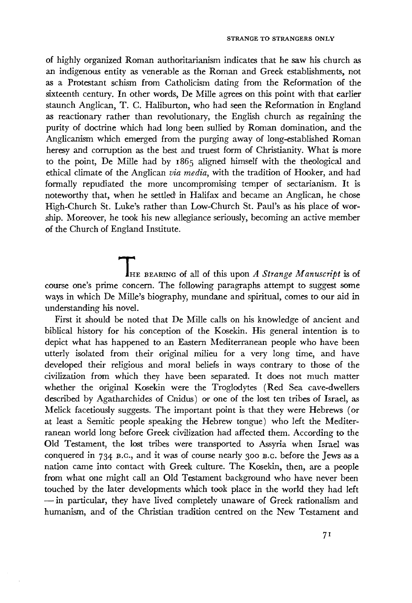of highly organized Roman authoritarianism indicates that he saw his church as an indigenous entity as venerable as the Roman and Greek establishments, not as a Protestant schism from Catholicism dating from the Reformation of the sixteenth century. In other words, De Mille agrees on this point with that earlier staunch Anglican, T. C. Haliburton, who had seen the Reformation in England as reactionary rather than revolutionary, the English church as regaining the purity of doctrine which had long been sullied by Roman domination, and the Anglicanism which emerged from the purging away of long-established Roman heresy and corruption as the best and truest form of Christianity. What is more to the point, De Mille had by 1865 aligned himself with the theological and ethical climate of the Anglican *via media,* with the tradition of Hooker, and had formally repudiated the more uncompromising temper of sectarianism. It is noteworthy that, when he settled' in Halifax and became an Anglican, he chose High-Church St. Luke's rather than Low-Church St. Paul's as his place of wor ship. Moreover, he took his new allegiance seriously, becoming an active member of the Church of England Institute.

**THE BEARING of all of this upon A Strange Manuscript is of** course one's prime concern. The following paragraphs attempt to suggest some ways in which De Mille's biography, mundane and spiritual, comes to our aid in understanding his novel.

First it should be noted that De Mille calls on his knowledge of ancient and biblical history for his conception of the Kosekin. His general intention is to depict what has happened to an Eastern Mediterranean people who have been utterly isolated from their original milieu for a very long time, and have developed their religious and moral beliefs in ways contrary to those of the civilization from which they have been separated. It does not much matter whether the original Kosekin were the Troglodytes (Red Sea cave-dwellers described by Agatharchides of Cnidus) or one of the lost ten tribes of Israel, as Melick facetiously suggests. The important point is that they were Hebrews (or at least a Semitic people speaking the Hebrew tongue) who left the Mediter ranean world long before Greek civilization had affected them. According to the Old Testament, the lost tribes were transported to Assyria when Israel was conquered in 734 B.C., and it was of course nearly 300 B.C. before the Jews as a nation came into contact with Greek culture. The Kosekin, then, are a people from what one might call an Old Testament background who have never been touched by the later developments which took place in the world they had left — in particular, they have lived completely unaware of Greek rationalism and humanism, and of the Christian tradition centred on the New Testament and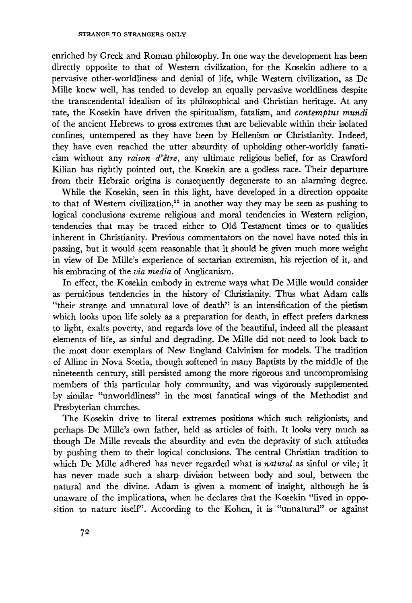enriched by Greek and Roman philosophy. In one way the development has been directly opposite to that of Western civilization, for the Kosekin adhere to a pervasive other-worldliness and denial of life, while Western civilization, as De Mille knew well, has tended to develop an equally pervasive worldliness despite the transcendental idealism of its philosophical and Christian heritage. At any rate, the Kosekin have driven the spiritualism, fatalism, and *contemptus mundi* of the ancient Hebrews to gross extremes that are believable within their isolated confines, untempered as they have been by Hellenism or Christianity. Indeed, they have even reached the utter absurdity of upholding other-worldly fanaticism without any *raison d'être,* any ultimate religious belief, for as Crawford Kilian has rightly pointed out, the Kosekin are a godless race. Their departure from their Hebraic origins is consequently degenerate to an alarming degree.

While the Kosekin, seen in this light, have developed in a direction opposite to that of Western civilization,<sup>22</sup> in another way they may be seen as pushing to logical conclusions extreme religious and moral tendencies in Western religion, tendencies that may be traced either to Old Testament times or to qualities inherent in Christianity. Previous commentators on the novel have noted this in passing, but it would seem reasonable that it should be given much more weight in view of De Mille's experience of sectarian extremism, his rejection of it, and his embracing of the *via media* of Anglicanism.

In effect, the Kosekin embody in extreme ways what De Mille would consider as pernicious tendencies in the history of Christianity. Thus what Adam calls "their strange and unnatural love of death" is an intensification of the pietism which looks upon life solely as a preparation for death, in effect prefers darkness to light, exalts poverty, and regards love of the beautiful, indeed all the pleasant elements of life, as sinful and degrading. De Mille did not need to look back to the most dour exemplars of New England Calvinism for models. The tradition of Alline in Nova Scotia, though softened in many Baptists by the middle of the nineteenth century, still persisted among the more rigorous and uncompromising members of this particular holy community, and was vigorously supplemented by similar "unworldliness" in the most fanatical wings of the Methodist and Presbyterian churches.

The Kosekin drive to literal extremes positions which such religionists, and perhaps De Mille's own father, held as articles of faith. It looks very much as though De Mille reveals the absurdity and even the depravity of such attitudes by pushing them to their logical conclusions. The central Christian tradition to which De Mille adhered has never regarded what is *natural* as sinful or vile; it has never made such a sharp division between body and soul, between the natural and the divine. Adam is given a moment of insight, although he is unaware of the implications, when he declares that the Kosekin "lived in opposition to nature itself". According to the Kohen, it is "unnatural" or against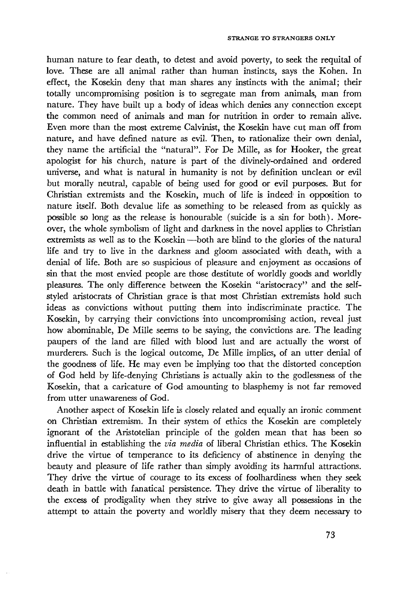human nature to fear death, to detest and avoid poverty, to seek the requital of love. These are all animal rather than human instincts, says the Kohen. In effect, the Kosekin deny that man shares any instincts with the animal; their totally uncompromising position is to segregate man from animals, man from nature. They have built up a body of ideas which denies any connection except the common need of animals and man for nutrition in order to remain alive. Even more than the most extreme Calvinist, the Kosekin have cut man off from nature, and have defined nature as evil. Then, to rationalize their own denial, they name the artificial the "natural". For De Mille, as for Hooker, the great apologist for his church, nature is part of the divinely-ordained and ordered universe, and what is natural in humanity is not by definition unclean or evil but morally neutral, capable of being used for good or evil purposes. But for Christian extremists and the Kosekin, much of life is indeed in opposition to nature itself. Both devalue life as something to be released from as quickly as possible so long as the release is honourable (suicide is a sin for both). Moreover, the whole symbolism of light and darkness in the novel applies to Christian extremists as well as to the Kosekin —both are blind to the glories of the natural life and try to live in the darkness and gloom associated with death, with a denial of life. Both are so suspicious of pleasure and enjoyment as occasions of sin that the most envied people are those destitute of worldly goods and worldly pleasures. The only difference between the Kosekin "aristocracy" and the selfstyled aristocrats of Christian grace is that most Christian extremists hold such ideas as convictions without putting them into indiscriminate practice. The Kosekin, by carrying their convictions into uncompromising action, reveal just how abominable, De Mille seems to be saying, the convictions are. The leading paupers of the land are filled with blood lust and are actually the worst of murderers. Such is the logical outcome, De Mille implies, of an utter denial of the goodness of life. He may even be implying too that the distorted conception of God held by life-denying Christians is actually akin to the godlessness of the Kosekin, that a caricature of God amounting to blasphemy is not far removed from utter unawareness of God.

Another aspect of Kosekin life is closely related and equally an ironic comment on Christian extremism. In their system of ethics the Kosekin are completely ignorant of the Aristotelian principle of the golden mean that has been so influential in establishing the *via media* of liberal Christian ethics. The Kosekin drive the virtue of temperance to its deficiency of abstinence in denying the beauty and pleasure of life rather than simply avoiding its harmful attractions. They drive the virtue of courage to its excess of foolhardiness when they seek death in battle with fanatical persistence. They drive the virtue of liberality to the excess of prodigality when they strive to give away all possessions in the attempt to attain the poverty and worldly misery that they deem necessary to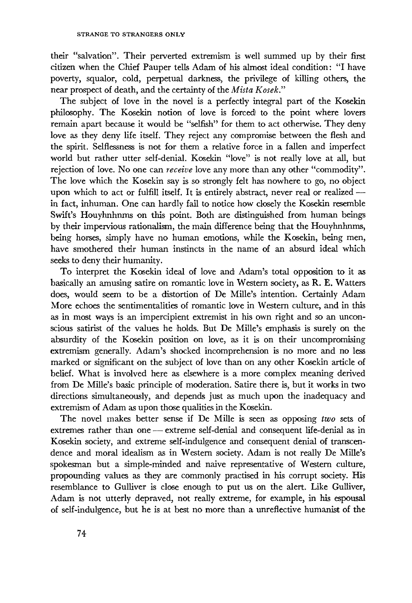their "salvation". Their perverted extremism is well summed up by their first citizen when the Chief Pauper tells Adam of his almost ideal condition: "I have poverty, squalor, cold, perpetual darkness, the privilege of killing others, the near prospect of death, and the certainty of the *Mista Kosek."*

The subject of love in the novel is a perfectly integral part of the Kosekin philosophy. The Kosekin notion of love is forced to the point where lovers remain apart because it would be "selfish" for them to act otherwise. They deny love as they deny life itself. They reject any compromise between the flesh and the spirit. Selflessness is not for them a relative force in a fallen and imperfect world but rather utter self-denial. Kosekin "love" is not really love at all, but rejection of love. No one can *receive* love any more than any other "commodity". The love which the Kosekin say is so strongly felt has nowhere to go, no object upon which to act or fulfill itself. It is entirely abstract, never real or realized in fact, inhuman. One can hardly fail to notice how closely the Kosekin resemble Swift's Houyhnhnms on this point. Both are distinguished from human beings by their impervious rationalism, the main difference being that the Houyhnhnms, being horses, simply have no human emotions, while the Kosekin, being men, have smothered their human instincts in the name of an absurd ideal which seeks to deny their humanity.

To interpret the Kosekin ideal of love and Adam's total opposition to it as basically an amusing satire on romantic love in Western society, as R. E. Watters does, would seem to be a distortion of De Mille's intention. Certainly Adam More echoes the sentimentalities of romantic love in Western culture, and in this as in most ways is an impercipient extremist in his own right and so an unconscious satirist of the values he holds. But De Mille's emphasis is surely on the absurdity of the Kosekin position on love, as it is on their uncompromising extremism generally. Adam's shocked incomprehension is no more and no less marked or significant on the subject of love than on any other Kosekin article of belief. What is involved here as elsewhere is a more complex meaning derived from De Mille's basic principle of moderation. Satire there is, but it works in two directions simultaneously, and depends just as much upon the inadequacy and extremism of Adam as upon those qualities in the Kosekin.

The novel makes better sense if De Mille is seen as opposing *two* sets of extremes rather than one — extreme self-denial and consequent life-denial as in Kosekin society, and extreme self-indulgence and consequent denial of transcendence and moral idealism as in Western society. Adam is not really De Mille's spokesman but a simple-minded and naive representative of Western culture, propounding values as they are commonly practised in his corrupt society. His resemblance to Gulliver is close enough to put us on the alert. Like Gulliver, Adam is not utterly depraved, not really extreme, for example, in his espousal of self-indulgence, but he is at best no more than a unreflective humanist of the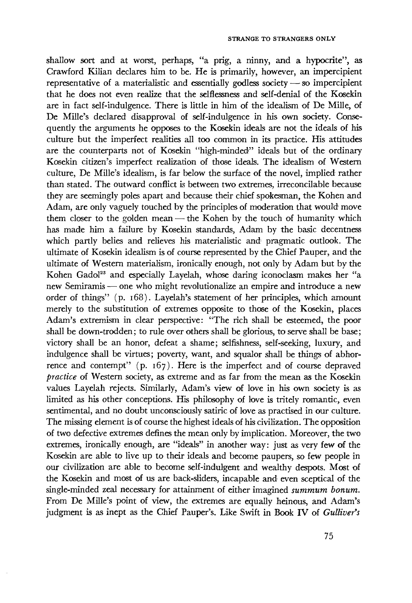shallow sort and at worst, perhaps, "a prig, a ninny, and a hypocrite", as Crawford Kilian declares him to be. He is primarily, however, an impercipient representative of a materialistic and essentially godless society — so impercipient that he does not even realize that the selflessness and self-denial of the Kosekin are in fact self-indulgence. There is little in him of the idealism of De Mille, of De Mule's declared disapproval of self-indulgence in his own society. Consequently the arguments he opposes to the Kosekin ideals are not the ideals of his culture but the imperfect realities all too common in its practice. His attitudes are the counterparts not of Kosekin "high-minded" ideals but of the ordinary Kosekin citizen's imperfect realization of those ideals. The idealism of Western culture, De Milk's idealism, is far below the surface of the novel, implied rather than stated. The outward conflict is between two extremes, irreconcilable because they are seemingly poles apart and because their chief spokesman, the Kohen and Adam, are only vaguely touched by the principles of moderation that would move them closer to the golden mean — the Kohen by the touch of humanity which has made him a failure by Kosekin standards, Adam by the basic decentness which partly belies and relieves his materialistic and pragmatic outlook. The ultimate of Kosekin idealism is of course represented by the Chief Pauper, and the ultimate of Western materialism, ironically enough, not only by Adam but by the Kohen Gadol<sup>23</sup> and especially Layelah, whose daring iconoclasm makes her "a new Semiramis — one who might revolutionalize an empire and introduce a new order of things" (p. 168). Layelah's statement of her principles, which amount merely to the substitution of extremes opposite to those of the Kosekin, places Adam's extremism in clear perspective: "The rich shall be esteemed, the poor shall be down-trodden; to rule over others shall be glorious, to serve shall be base; victory shall be an honor, defeat a shame; selfishness, self-seeking, luxury, and indulgence shall be virtues; poverty, want, and squalor shall be things of abhorrence and contempt" (p. 167). Here is the imperfect and of course depraved *practice* of Western society, as extreme and as far from the mean as the Kosekin values Layelah rejects. Similarly, Adam's view of love in his own society is as limited as his other conceptions. His philosophy of love is tritely romantic, even sentimental, and no doubt unconsciously satiric of love as practised in our culture. The missing element is of course the highest ideals of his civilization. The opposition of two defective extremes defines the mean only by implication. Moreover, the two extremes, ironically enough, are "ideals" in another way: just as very few of the Kosekin are able to live up to their ideals and become paupers, so few people in our civilization are able to become self-indulgent and wealthy despots. Most of the Kosekin and most of us are back-sliders, incapable and even sceptical of the single-minded zeal necessary for attainment of either imagined *summum bonum.* From De Mille's point of view, the extremes are equally heinous, and Adam's judgment is as inept as the Chief Pauper's. Like Swift in Book IV of *Gulliver's*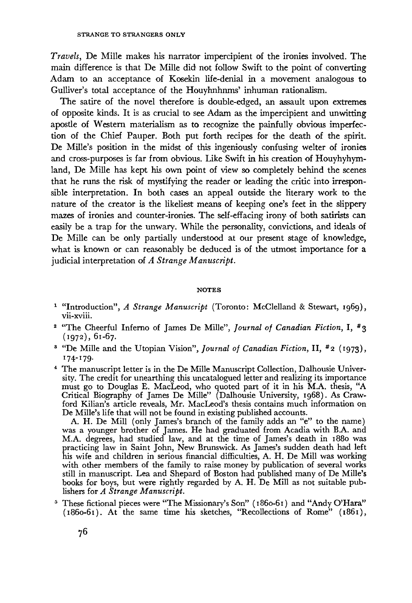*Travels*, De Mille makes his narrator impercipient of the ironies involved. The main difference is that De Mille did not follow Swift to the point of converting Adam to an acceptance of Kosekin life-denial in a movement analogous to Gulliver's total acceptance of the Houyhnhnms' inhuman rationalism.

The satire of the novel therefore is double-edged, an assault upon extremes of opposite kinds. It is as crucial to see Adam as the impercipient and unwitting apostle of Western materialism as to recognize the painfully obvious imperfection of the Chief Pauper. Both put forth recipes for the death of the spirit. De Mille's position in the midst of this ingeniously confusing welter of ironies and cross-purposes is far from obvious. Like Swift in his creation of Houyhyhymland, De Mille has kept his own point of view so completely behind the scenes that he runs the risk of mystifying the reader or leading the critic into irresponsible interpretation. In both cases an appeal outside the literary work to the nature of the creator is the likeliest means of keeping one's feet in the slippery mazes of ironies and counter-ironies. The self-effacing irony of both satirists can easily be a trap for the unwary. While the personality, convictions, and ideals of De Mille can be only partially understood at our present stage of knowledge, what is known or can reasonably be deduced is of the utmost importance for a judicial interpretation of *A Strange Manuscript.*

## **NOTES**

- <sup>1</sup> "Introduction", *A Strange Manuscript* (Toronto: McClelland & Stewart, 1969), vii-xviii.
- <sup>2</sup> "The Cheerful Inferno of James De Mille", Journal of Canadian Fiction, I, #3 (1972), 61-67.
- <sup>3</sup> "De Mille and the Utopian Vision", *Journal of Canadian Fiction*, II, #2 (1973), 174-179·
- 4 The manuscript letter is in the De Mille Manuscript Collection, Dalhousie University. The credit for unearthing this uncatalogued letter and realizing its importance must go to Douglas E. MacLeod, who quoted part of it in his M.A. thesis, "A Critical Biography of James De Mille" (Dalhousie University, 1968). As Crawford Kilian's article reveals, Mr. MacLeod's thesis contains much information on De Mille's life that will not be found in existing published accounts.

A. H. De Mill (only James's branch of the family adds an "e" to the name) was a younger brother of James. He had graduated from Acadia with B.A. and M.A. degrees, had studied law, and at the time of James's death in 1880 was practicing law in Saint John, New Brunswick. As James's sudden death had left his wife and children in serious financial difficulties, A. H. De Mill was working with other members of the family to raise money by publication of several works still in manuscript. Lea and Shepard of Boston had published many of De Mille's books for boys, but were rightly regarded by A. H. De Mill as not suitable publishers for *A Strange Manuscript.*

<sup>5</sup> These fictional pieces were "The Missionary's Son" (1860-61) and "Andy O'Hara"  $(1860-61)$ . At the same time his sketches, "Recollections of Rome"  $(1861)$ ,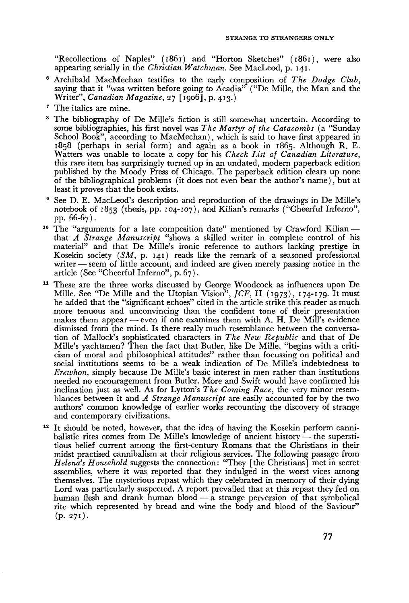"Recollections of Naples" (1861) and "Horton Sketches" (1861), were also appearing serially in the *Christian Watchman.* See MacLeod, p. 141.

- Archibald MacMechan testifies to the early composition of *The Dodge Club,* saying that it "was written before going to Acadia" ("De Mille, the Man and the Writer", *Canadian Magazine,* 27 [1906], p. 413.)
- 7 The italics are mine.
- <sup>8</sup> The bibliography of De Mille's fiction is still somewhat uncertain. According to some bibliographies, his first novel was *The Martyr of the Catacombs* (a "Sunday School Book", according to MacMechan), which is said to have first appeared in 1858 (perhaps in serial form) and again as a book in 1865. Although R. E. Watters was unable to locate a copy for his *Check List of Canadian Literature,* this rare item has surprisingly turned up in an undated, modern paperback edition published by the Moody Press of Chicago. The paperback edition clears up none of the bibliographical problems (it does not even bear the author's name), but at least it proves that the book exists.
- 9 See D. E. MacLeod's description and reproduction of the drawings in De Mille's notebook of 1853 (thesis, pp. 104-107), and Kilian's remarks ("Cheerful Inferno", pp. 66-67).
- <sup>10</sup> The "arguments for a late composition date" mentioned by Crawford Kilian -that *A Strange Manuscript* "shows a skilled writer in complete control of his material" and that De Mille's ironic reference to authors lacking prestige in Kosekin society *(SM,* p. 141) reads like the remark of a seasoned professional writer — seem of little account, and indeed are given merely passing notice in the article (See "Cheerful Inferno", p. 67).
- <sup>11</sup> These are the three works discussed by George Woodcock as influences upon De Mille. See "De Mille and the Utopian Vision", *JCF,* II (1973), 174-179· It must be added that the "significant echoes" cited in the article strike this reader as much more tenuous and unconvincing than the confident tone of their presentation makes them appear — even if one examines them with A. H. De Mill's evidence dismissed from the mind. Is there really much resemblance between the conversa tion of Mallock's sophisticated characters in *The New Republic* and that of De Mille's yachtsmen? Then the fact that Butler, like De Mille, "begins with a criti cism of moral and philosophical attitudes" rather than focussing on political and social institutions seems to be a weak indication of De Mille's indebtedness to *Erewhon,* simply because De Mille's basic interest in men rather than institutions needed no encouragement from Butler. More and Swift would have confirmed his inclination just as well. As for Lytton's *The Coming Race,* the very minor resem blances between it and *A Strange Manuscript* are easily accounted for by the two authors' common knowledge of earlier works recounting the discovery of strange and contemporary civilizations.
- <sup>12</sup> It should be noted, however, that the idea of having the Kosekin perform canni balistic rites comes from De Mille's knowledge of ancient history — the supersti tious belief current among the first-century Romans that the Christians in their midst practised cannibalism at their religious services. The following passage from *Helena's Household* suggests the connection: "They [the Christians] met in secret assemblies, where it was reported that they indulged in the worst vices among themselves. The mysterious repast which they celebrated in memory of their dying Lord was particularly suspected. A report prevailed that at this repast they fed on human flesh and drank human blood  $-\bar{a}$  strange perversion of that symbolical rite which represented by bread and wine the body and blood of the Saviour" (p. 271).